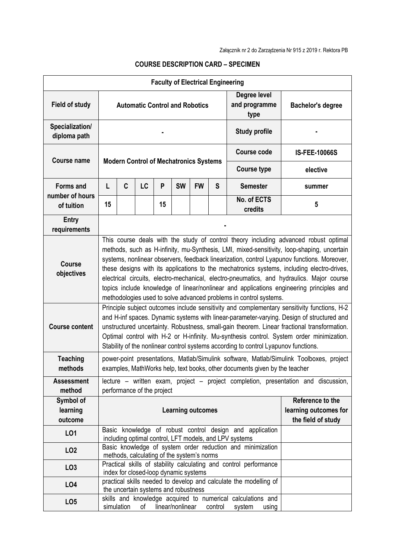| <b>Faculty of Electrical Engineering</b> |                                                                                                                                                                                                                                                                                                                                                                                                                                                                                                                                                                                                                                               |            |    |    |                  |           |                                       |                                                                                |                      |
|------------------------------------------|-----------------------------------------------------------------------------------------------------------------------------------------------------------------------------------------------------------------------------------------------------------------------------------------------------------------------------------------------------------------------------------------------------------------------------------------------------------------------------------------------------------------------------------------------------------------------------------------------------------------------------------------------|------------|----|----|------------------|-----------|---------------------------------------|--------------------------------------------------------------------------------|----------------------|
| <b>Field of study</b>                    | <b>Automatic Control and Robotics</b>                                                                                                                                                                                                                                                                                                                                                                                                                                                                                                                                                                                                         |            |    |    |                  |           | Degree level<br>and programme<br>type | <b>Bachelor's degree</b>                                                       |                      |
| Specialization/<br>diploma path          |                                                                                                                                                                                                                                                                                                                                                                                                                                                                                                                                                                                                                                               |            |    |    |                  |           |                                       | <b>Study profile</b>                                                           |                      |
| <b>Course name</b>                       | <b>Modern Control of Mechatronics Systems</b>                                                                                                                                                                                                                                                                                                                                                                                                                                                                                                                                                                                                 |            |    |    |                  |           |                                       | <b>Course code</b>                                                             | <b>IS-FEE-10066S</b> |
|                                          |                                                                                                                                                                                                                                                                                                                                                                                                                                                                                                                                                                                                                                               |            |    |    |                  |           |                                       | <b>Course type</b>                                                             | elective             |
| <b>Forms and</b><br>number of hours      | L                                                                                                                                                                                                                                                                                                                                                                                                                                                                                                                                                                                                                                             | C          | LC | P  | <b>SW</b>        | <b>FW</b> | S                                     | <b>Semester</b>                                                                | summer               |
| of tuition                               | 15                                                                                                                                                                                                                                                                                                                                                                                                                                                                                                                                                                                                                                            |            |    | 15 |                  |           |                                       | No. of ECTS<br>credits                                                         | 5                    |
| <b>Entry</b><br>requirements             |                                                                                                                                                                                                                                                                                                                                                                                                                                                                                                                                                                                                                                               |            |    |    |                  |           |                                       |                                                                                |                      |
| <b>Course</b><br>objectives              | This course deals with the study of control theory including advanced robust optimal<br>methods, such as H-infinity, mu-Synthesis, LMI, mixed-sensitivity, loop-shaping, uncertain<br>systems, nonlinear observers, feedback linearization, control Lyapunov functions. Moreover,<br>these designs with its applications to the mechatronics systems, including electro-drives,<br>electrical circuits, electro-mechanical, electro-pneumatics, and hydraulics. Major course<br>topics include knowledge of linear/nonlinear and applications engineering principles and<br>methodologies used to solve advanced problems in control systems. |            |    |    |                  |           |                                       |                                                                                |                      |
| <b>Course content</b>                    | Principle subject outcomes include sensitivity and complementary sensitivity functions, H-2<br>and H-inf spaces. Dynamic systems with linear-parameter-varying. Design of structured and<br>unstructured uncertainty. Robustness, small-gain theorem. Linear fractional transformation.<br>Optimal control with H-2 or H-infinity. Mu-synthesis control. System order minimization.<br>Stability of the nonlinear control systems according to control Lyapunov functions.                                                                                                                                                                    |            |    |    |                  |           |                                       |                                                                                |                      |
| <b>Teaching</b><br>methods               | power-point presentations, Matlab/Simulink software, Matlab/Simulink Toolboxes, project<br>examples, MathWorks help, text books, other documents given by the teacher                                                                                                                                                                                                                                                                                                                                                                                                                                                                         |            |    |    |                  |           |                                       |                                                                                |                      |
| <b>Assessment</b><br>method              | lecture - written exam, project - project completion, presentation and discussion,<br>performance of the project                                                                                                                                                                                                                                                                                                                                                                                                                                                                                                                              |            |    |    |                  |           |                                       |                                                                                |                      |
| Symbol of<br>learning<br>outcome         | Reference to the<br>learning outcomes for<br><b>Learning outcomes</b><br>the field of study                                                                                                                                                                                                                                                                                                                                                                                                                                                                                                                                                   |            |    |    |                  |           |                                       |                                                                                |                      |
| LO1                                      | Basic knowledge of robust control design and application<br>including optimal control, LFT models, and LPV systems                                                                                                                                                                                                                                                                                                                                                                                                                                                                                                                            |            |    |    |                  |           |                                       |                                                                                |                      |
| LO <sub>2</sub>                          |                                                                                                                                                                                                                                                                                                                                                                                                                                                                                                                                                                                                                                               |            |    |    |                  |           |                                       | Basic knowledge of system order reduction and minimization                     |                      |
| LO <sub>3</sub>                          | methods, calculating of the system's norms<br>Practical skills of stability calculating and control performance<br>index for closed-loop dynamic systems                                                                                                                                                                                                                                                                                                                                                                                                                                                                                      |            |    |    |                  |           |                                       |                                                                                |                      |
| LO4                                      | practical skills needed to develop and calculate the modelling of<br>the uncertain systems and robustness                                                                                                                                                                                                                                                                                                                                                                                                                                                                                                                                     |            |    |    |                  |           |                                       |                                                                                |                      |
| LO <sub>5</sub>                          |                                                                                                                                                                                                                                                                                                                                                                                                                                                                                                                                                                                                                                               | simulation | of |    | linear/nonlinear |           | control                               | skills and knowledge acquired to numerical calculations and<br>system<br>using |                      |

## **COURSE DESCRIPTION CARD – SPECIMEN**